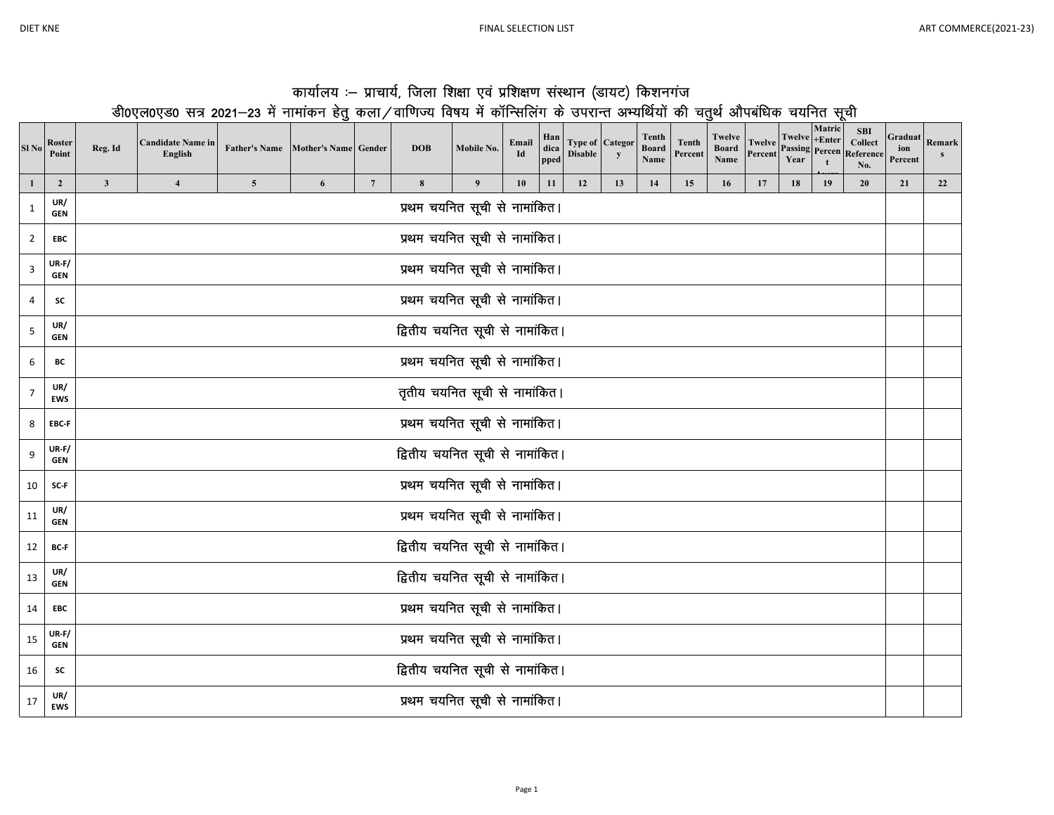T

|         |                                                                                                                             |                                    | कार्यालय :– प्राचार्य, जिला शिक्षा एवं प्रशिक्षण संस्थान (डायट) किशनगंज |            |            |  |  |  |  |        |                                                                                                                                                                                       |                 |  |
|---------|-----------------------------------------------------------------------------------------------------------------------------|------------------------------------|-------------------------------------------------------------------------|------------|------------|--|--|--|--|--------|---------------------------------------------------------------------------------------------------------------------------------------------------------------------------------------|-----------------|--|
|         | डी0एल0एड0 सत्र 2021–23 में नामांकन हेतू कला/वाणिज्य विषय में कॉन्सिलिंग के उपरान्त अभ्यर्थियों की चतूर्थ औपबंधिक चयनित सूची |                                    |                                                                         |            |            |  |  |  |  |        |                                                                                                                                                                                       |                 |  |
| Reg. Id | Candidate Name in<br><b>Transfer</b>                                                                                        | Father's Name Mother's Name Gender |                                                                         | <b>DOB</b> | Mobile No. |  |  |  |  | Matric | <b>SBI</b><br>Email Han Type of Categor Tenth Tenth Twelve Twelve Henter Spirit Superior Reserved Henter Collect G<br>$T = \frac{1}{2}$ Twelve $+ \text{Enter}$ Collect $\frac{1}{2}$ | Graduat.<br>ion |  |

| SI No          | <b>Roster</b><br>Point     | Reg. Id                         | Candidate Name in<br>English  | Father's Name Mother's Name Gender |   |                 | <b>DOB</b>                      | Mobile No.                    | Email<br>Id | dica<br>pped | <b>Disable</b> | Type of Categor<br>y | <b>Board</b><br>Name | Tenth<br>Percent | Board<br>Name |    |    |    | <b>TWeive</b> Passing Percen Reference<br>No. | ion<br>Percent | <b>Remark</b><br>S |
|----------------|----------------------------|---------------------------------|-------------------------------|------------------------------------|---|-----------------|---------------------------------|-------------------------------|-------------|--------------|----------------|----------------------|----------------------|------------------|---------------|----|----|----|-----------------------------------------------|----------------|--------------------|
| $\mathbf{1}$   | $\overline{2}$             | $\mathbf{3}$                    | $\overline{\mathbf{4}}$       | $\overline{\mathbf{5}}$            | 6 | $7\phantom{.0}$ | 8                               | 9                             | 10          | 11           | 12             | 13                   | 14                   | 15               | 16            | 17 | 18 | 19 | 20                                            | 21             | 22                 |
| 1              | UR/<br><b>GEN</b>          |                                 |                               |                                    |   |                 |                                 | प्रथम चयनित सूची से नामांकित। |             |              |                |                      |                      |                  |               |    |    |    |                                               |                |                    |
| $\overline{2}$ | EBC                        |                                 |                               |                                    |   |                 |                                 | प्रथम चयनित सूची से नामांकित। |             |              |                |                      |                      |                  |               |    |    |    |                                               |                |                    |
| 3              | $UR-F/$<br><b>GEN</b>      |                                 |                               |                                    |   |                 |                                 | प्रथम चयनित सूची से नामांकित। |             |              |                |                      |                      |                  |               |    |    |    |                                               |                |                    |
| 4              | SC                         |                                 | प्रथम चयनित सूची से नामांकित। |                                    |   |                 |                                 |                               |             |              |                |                      |                      |                  |               |    |    |    |                                               |                |                    |
| 5              | UR/<br><b>GEN</b>          | द्वितीय चयनित सूची से नामांकित। |                               |                                    |   |                 |                                 |                               |             |              |                |                      |                      |                  |               |    |    |    |                                               |                |                    |
| 6              | ВC                         | प्रथम चयनित सूची से नामांकित।   |                               |                                    |   |                 |                                 |                               |             |              |                |                      |                      |                  |               |    |    |    |                                               |                |                    |
| $\overline{7}$ | UR/<br><b>EWS</b>          | तृतीय चयनित सूची से नामांकित।   |                               |                                    |   |                 |                                 |                               |             |              |                |                      |                      |                  |               |    |    |    |                                               |                |                    |
| 8              | EBC-F                      | प्रथम चयनित सूची से नामांकित।   |                               |                                    |   |                 |                                 |                               |             |              |                |                      |                      |                  |               |    |    |    |                                               |                |                    |
| 9              | <b>UR-F/</b><br><b>GEN</b> | द्वितीय चयनित सूची से नामांकित। |                               |                                    |   |                 |                                 |                               |             |              |                |                      |                      |                  |               |    |    |    |                                               |                |                    |
| 10             | SC-F                       |                                 |                               |                                    |   |                 |                                 | प्रथम चयनित सूची से नामांकित। |             |              |                |                      |                      |                  |               |    |    |    |                                               |                |                    |
| 11             | UR/<br><b>GEN</b>          |                                 |                               |                                    |   |                 |                                 | प्रथम चयनित सूची से नामांकित। |             |              |                |                      |                      |                  |               |    |    |    |                                               |                |                    |
| 12             | BC-F                       |                                 |                               |                                    |   |                 | द्वितीय चयनित सूची से नामांकित। |                               |             |              |                |                      |                      |                  |               |    |    |    |                                               |                |                    |
| 13             | UR/<br><b>GEN</b>          |                                 |                               |                                    |   |                 | द्वितीय चयनित सूची से नामांकित। |                               |             |              |                |                      |                      |                  |               |    |    |    |                                               |                |                    |
| 14             | EBC                        |                                 |                               |                                    |   |                 |                                 | प्रथम चयनित सूची से नामांकित। |             |              |                |                      |                      |                  |               |    |    |    |                                               |                |                    |
| 15             | $UR-F/$<br><b>GEN</b>      |                                 |                               |                                    |   |                 |                                 | प्रथम चयनित सूची से नामांकित। |             |              |                |                      |                      |                  |               |    |    |    |                                               |                |                    |
| 16             | SC                         |                                 |                               |                                    |   |                 | द्वितीय चयनित सूची से नामांकित। |                               |             |              |                |                      |                      |                  |               |    |    |    |                                               |                |                    |
| 17             | UR/<br><b>EWS</b>          |                                 |                               |                                    |   |                 |                                 | प्रथम चयनित सूची से नामांकित। |             |              |                |                      |                      |                  |               |    |    |    |                                               |                |                    |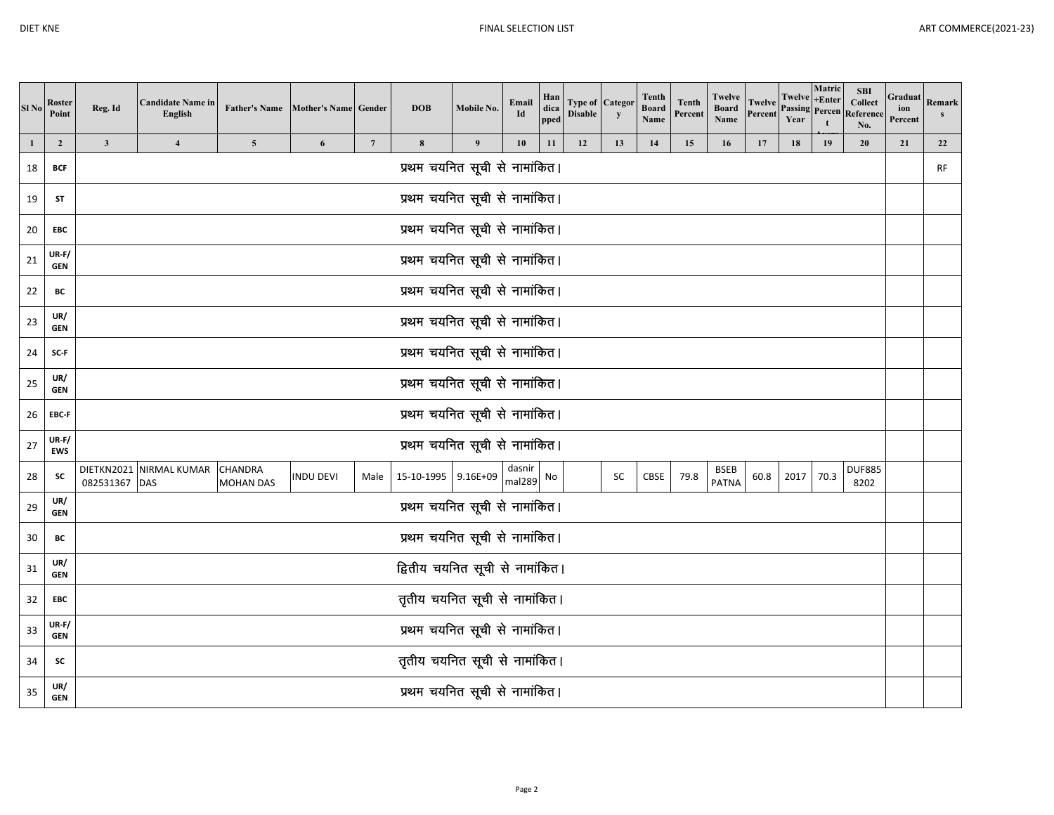| Sl <sub>No</sub> | Roster<br>Point            | Reg. Id                       | <b>Candidate Name in</b><br>English |                                    | <b>Father's Name</b> Mother's Name Gender |                 | <b>DOB</b>                      | Mobile No.       | Email<br>Id      | Han<br>dica<br>pped | <b>Disable</b> | <b>Type of Categor</b><br>y | Tenth<br><b>Board</b><br>Name | <b>Tenth</b><br>Percent | Twelve<br><b>Board</b><br>Name | Twelve<br>Percent | Twelve<br>Passing<br>Year | Matric<br>$+Enter$<br>Percen | <b>SBI</b><br>Collect<br>Reference<br>No. | Graduat<br>ion<br>Percent | Remark<br>S |
|------------------|----------------------------|-------------------------------|-------------------------------------|------------------------------------|-------------------------------------------|-----------------|---------------------------------|------------------|------------------|---------------------|----------------|-----------------------------|-------------------------------|-------------------------|--------------------------------|-------------------|---------------------------|------------------------------|-------------------------------------------|---------------------------|-------------|
| 1                | $\overline{2}$             | $\mathbf{3}$                  | $\overline{\mathbf{4}}$             | $\overline{\mathbf{5}}$            | 6                                         | $7\phantom{.0}$ | 8                               | $\boldsymbol{9}$ | 10               | 11                  | 12             | 13                          | 14                            | 15                      | 16                             | 17                | 18                        | 19                           | 20                                        | 21                        | 22          |
| 18               | BCF                        |                               |                                     |                                    |                                           |                 | प्रथम चयनित सूची से नामांकित।   |                  |                  |                     |                |                             |                               |                         |                                |                   |                           |                              |                                           |                           | <b>RF</b>   |
| 19               | ST                         |                               |                                     |                                    |                                           |                 | प्रथम चयनित सूची से नामांकित।   |                  |                  |                     |                |                             |                               |                         |                                |                   |                           |                              |                                           |                           |             |
| 20               | EBC                        |                               |                                     |                                    |                                           |                 | प्रथम चयनित सूची से नामांकित।   |                  |                  |                     |                |                             |                               |                         |                                |                   |                           |                              |                                           |                           |             |
| 21               | $UR-F/$<br>GEN             |                               |                                     |                                    |                                           |                 | प्रथम चयनित सूची से नामांकित।   |                  |                  |                     |                |                             |                               |                         |                                |                   |                           |                              |                                           |                           |             |
| 22               | BC                         | प्रथम चयनित सूची से नामांकित। |                                     |                                    |                                           |                 |                                 |                  |                  |                     |                |                             |                               |                         |                                |                   |                           |                              |                                           |                           |             |
| 23               | UR/<br><b>GEN</b>          | प्रथम चयनित सूची से नामांकित। |                                     |                                    |                                           |                 |                                 |                  |                  |                     |                |                             |                               |                         |                                |                   |                           |                              |                                           |                           |             |
| 24               | SC-F                       | प्रथम चयनित सूची से नामांकित। |                                     |                                    |                                           |                 |                                 |                  |                  |                     |                |                             |                               |                         |                                |                   |                           |                              |                                           |                           |             |
| 25               | UR/<br><b>GEN</b>          |                               | प्रथम चयनित सूची से नामांकित।       |                                    |                                           |                 |                                 |                  |                  |                     |                |                             |                               |                         |                                |                   |                           |                              |                                           |                           |             |
| 26               | EBC-F                      |                               | प्रथम चयनित सूची से नामांकित।       |                                    |                                           |                 |                                 |                  |                  |                     |                |                             |                               |                         |                                |                   |                           |                              |                                           |                           |             |
| 27               | $UR-F/$<br><b>EWS</b>      |                               |                                     |                                    |                                           |                 | प्रथम चयनित सूची से नामांकित।   |                  |                  |                     |                |                             |                               |                         |                                |                   |                           |                              |                                           |                           |             |
| 28               | SC                         | 082531367 DAS                 | DIETKN2021 NIRMAL KUMAR             | <b>CHANDRA</b><br><b>MOHAN DAS</b> | <b>INDU DEVI</b>                          | Male            | 15-10-1995 9.16E+09             |                  | dasnir<br>mal289 | No                  |                | SC                          | CBSE                          | 79.8                    | <b>BSEB</b><br><b>PATNA</b>    | 60.8              | 2017                      | 70.3                         | <b>DUF885</b><br>8202                     |                           |             |
| 29               | UR/<br><b>GEN</b>          |                               |                                     |                                    |                                           |                 | प्रथम चयनित सूची से नामांकित।   |                  |                  |                     |                |                             |                               |                         |                                |                   |                           |                              |                                           |                           |             |
| 30               | BC                         |                               |                                     |                                    |                                           |                 | प्रथम चयनित सूची से नामांकित।   |                  |                  |                     |                |                             |                               |                         |                                |                   |                           |                              |                                           |                           |             |
| 31               | UR/<br><b>GEN</b>          |                               |                                     |                                    |                                           |                 | द्वितीय चयनित सूची से नामांकित। |                  |                  |                     |                |                             |                               |                         |                                |                   |                           |                              |                                           |                           |             |
| 32               | EBC                        |                               |                                     |                                    |                                           |                 | तृतीय चयनित सूची से नामांकित।   |                  |                  |                     |                |                             |                               |                         |                                |                   |                           |                              |                                           |                           |             |
| 33               | <b>UR-F/</b><br><b>GEN</b> |                               |                                     |                                    |                                           |                 | प्रथम चयनित सूची से नामांकित।   |                  |                  |                     |                |                             |                               |                         |                                |                   |                           |                              |                                           |                           |             |
| 34               | SC                         |                               |                                     |                                    |                                           |                 | तृतीय चयनित सूची से नामांकित।   |                  |                  |                     |                |                             |                               |                         |                                |                   |                           |                              |                                           |                           |             |
| 35               | UR/<br><b>GEN</b>          |                               |                                     |                                    |                                           |                 | प्रथम चयनित सूची से नामांकित।   |                  |                  |                     |                |                             |                               |                         |                                |                   |                           |                              |                                           |                           |             |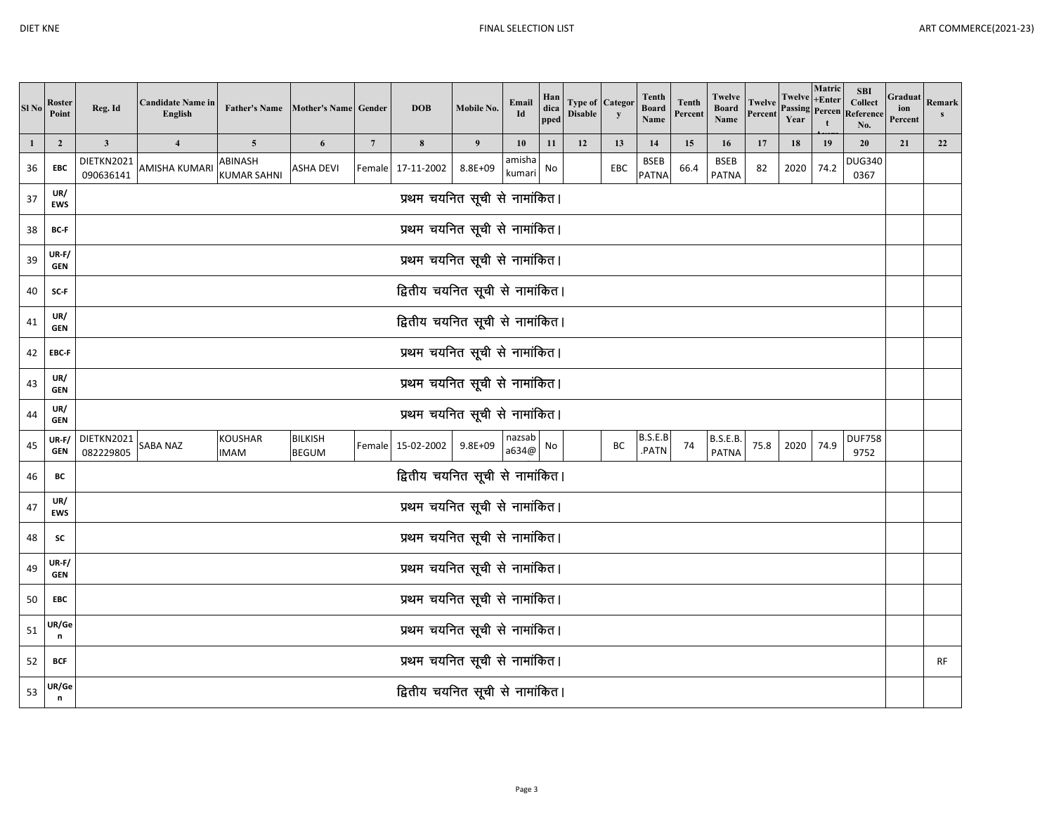| Sl No        | Roster<br>Point       | Reg. Id                         | <b>Candidate Name in</b><br>English | <b>Father's Name</b>          | Mother's Name Gender           |                 | <b>DOB</b>                      | Mobile No.       | Email<br>Id      | Han<br>dica<br>pped | Type of<br><b>Disable</b> | Categor<br>$\mathbf{y}$ | <b>Tenth</b><br><b>Board</b><br>Name | <b>Tenth</b><br>Percent | Twelve<br><b>Board</b><br>Name  | <b>Twelve</b><br>Percent | Twelve<br>Passing<br>Year | Matric<br>$+Enter$<br>Percen | <b>SBI</b><br>Collect<br>Reference<br>No. | Graduat<br>ion<br>Percent | Remark |
|--------------|-----------------------|---------------------------------|-------------------------------------|-------------------------------|--------------------------------|-----------------|---------------------------------|------------------|------------------|---------------------|---------------------------|-------------------------|--------------------------------------|-------------------------|---------------------------------|--------------------------|---------------------------|------------------------------|-------------------------------------------|---------------------------|--------|
| $\mathbf{1}$ | $\overline{2}$        | $\mathbf{3}$                    | $\overline{\mathbf{4}}$             | $\overline{5}$                | 6                              | $7\phantom{.0}$ | $\bf 8$                         | $\boldsymbol{9}$ | 10               | 11                  | 12                        | 13                      | 14                                   | 15                      | 16                              | 17                       | 18                        | 19                           | 20                                        | 21                        | 22     |
| 36           | EBC                   | DIETKN2021<br>090636141         | AMISHA KUMARI                       | ABINASH<br><b>KUMAR SAHNI</b> | ASHA DEVI                      |                 | Female 17-11-2002               | 8.8E+09          | amisha<br>kumari | No                  |                           | EBC                     | <b>BSEB</b><br><b>PATNA</b>          | 66.4                    | <b>BSEB</b><br><b>PATNA</b>     | 82                       | 2020                      | 74.2                         | <b>DUG340</b><br>0367                     |                           |        |
| 37           | UR/<br><b>EWS</b>     |                                 |                                     |                               |                                |                 | प्रथम चयनित सूची से नामांकित।   |                  |                  |                     |                           |                         |                                      |                         |                                 |                          |                           |                              |                                           |                           |        |
| 38           | BC-F                  |                                 |                                     |                               |                                |                 | प्रथम चयनित सूची से नामांकित।   |                  |                  |                     |                           |                         |                                      |                         |                                 |                          |                           |                              |                                           |                           |        |
| 39           | $UR-F/$<br><b>GEN</b> |                                 |                                     |                               |                                |                 | प्रथम चयनित सूची से नामांकित।   |                  |                  |                     |                           |                         |                                      |                         |                                 |                          |                           |                              |                                           |                           |        |
| 40           | SC-F                  | द्वितीय चयनित सूची से नामांकित। |                                     |                               |                                |                 |                                 |                  |                  |                     |                           |                         |                                      |                         |                                 |                          |                           |                              |                                           |                           |        |
| 41           | UR/<br><b>GEN</b>     | द्वितीय चयनित सूची से नामांकित। |                                     |                               |                                |                 |                                 |                  |                  |                     |                           |                         |                                      |                         |                                 |                          |                           |                              |                                           |                           |        |
| 42           | EBC-F                 | प्रथम चयनित सूची से नामांकित।   |                                     |                               |                                |                 |                                 |                  |                  |                     |                           |                         |                                      |                         |                                 |                          |                           |                              |                                           |                           |        |
| 43           | UR/<br><b>GEN</b>     | प्रथम चयनित सूची से नामांकित।   |                                     |                               |                                |                 |                                 |                  |                  |                     |                           |                         |                                      |                         |                                 |                          |                           |                              |                                           |                           |        |
| 44           | UR/<br><b>GEN</b>     |                                 |                                     |                               |                                |                 | प्रथम चयनित सूची से नामांकित।   |                  |                  |                     |                           |                         |                                      |                         |                                 |                          |                           |                              |                                           |                           |        |
| 45           | UR-F/<br><b>GEN</b>   | DIETKN2021<br>082229805         | SABA NAZ                            | <b>KOUSHAR</b><br><b>IMAM</b> | <b>BILKISH</b><br><b>BEGUM</b> |                 | Female 15-02-2002               | 9.8E+09          | nazsab<br>a634@  | No                  |                           | BC                      | B.S.E.B<br>.PATN                     | 74                      | <b>B.S.E.B.</b><br><b>PATNA</b> | 75.8                     | 2020                      | 74.9                         | <b>DUF758</b><br>9752                     |                           |        |
| 46           | BC                    |                                 |                                     |                               |                                |                 | द्वितीय चयनित सूची से नामांकित। |                  |                  |                     |                           |                         |                                      |                         |                                 |                          |                           |                              |                                           |                           |        |
| 47           | UR/<br><b>EWS</b>     |                                 |                                     |                               |                                |                 | प्रथम चयनित सूची से नामांकित।   |                  |                  |                     |                           |                         |                                      |                         |                                 |                          |                           |                              |                                           |                           |        |
| 48           | <b>SC</b>             |                                 |                                     |                               |                                |                 | प्रथम चयनित सूची से नामांकित।   |                  |                  |                     |                           |                         |                                      |                         |                                 |                          |                           |                              |                                           |                           |        |
| 49           | $UR-F/$<br><b>GEN</b> |                                 |                                     |                               |                                |                 | प्रथम चयनित सूची से नामांकित।   |                  |                  |                     |                           |                         |                                      |                         |                                 |                          |                           |                              |                                           |                           |        |
| 50           | EBC                   |                                 |                                     |                               |                                |                 | प्रथम चयनित सूची से नामांकित।   |                  |                  |                     |                           |                         |                                      |                         |                                 |                          |                           |                              |                                           |                           |        |
| 51           | UR/Ge<br>n            |                                 |                                     |                               |                                |                 | प्रथम चयनित सूची से नामांकित।   |                  |                  |                     |                           |                         |                                      |                         |                                 |                          |                           |                              |                                           |                           |        |
| 52           | <b>BCF</b>            |                                 |                                     |                               |                                |                 | प्रथम चयनित सूची से नामांकित।   |                  |                  |                     |                           |                         |                                      |                         |                                 |                          |                           |                              |                                           |                           | RF     |
| 53           | UR/Ge<br>n            |                                 |                                     |                               |                                |                 | द्वितीय चयनित सूची से नामांकित। |                  |                  |                     |                           |                         |                                      |                         |                                 |                          |                           |                              |                                           |                           |        |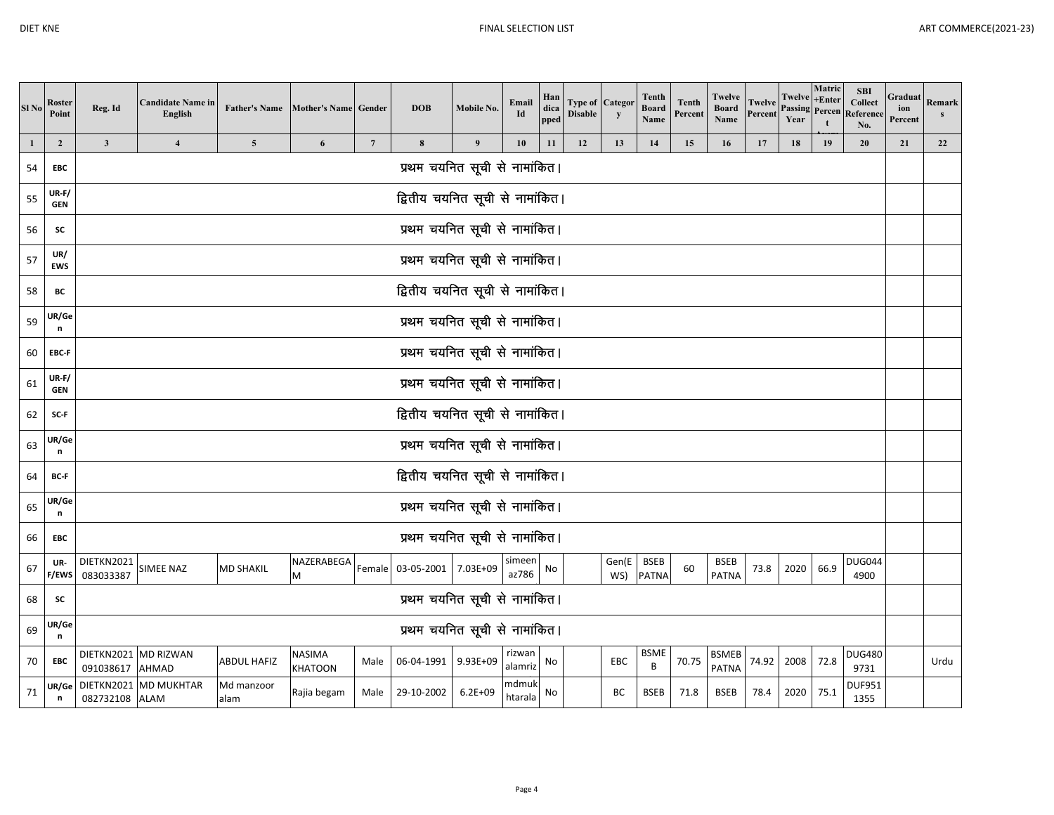| Sl No        | Roster<br>Point            | Reg. Id                                                                                                                                                                                                                                                        | <b>Candidate Name in</b><br>English |                    | Father's Name Mother's Name Gender |                 | <b>DOB</b>                      | Mobile No.       | Email<br>Id      | Han<br>dica<br>pped | Type of<br><b>Disable</b> | Categor<br>y | <b>Tenth</b><br><b>Board</b><br>Name | <b>Tenth</b><br>Percent | <b>Twelve</b><br><b>Board</b><br>Name | Twelve<br>Percent | Twelve<br><b>Passing Percen</b><br>Year | Matric<br>$+Enter$ | <b>SBI</b><br><b>Collect</b><br>Reference<br>No. | Graduat<br>ion<br>Percent | Remark<br>s |
|--------------|----------------------------|----------------------------------------------------------------------------------------------------------------------------------------------------------------------------------------------------------------------------------------------------------------|-------------------------------------|--------------------|------------------------------------|-----------------|---------------------------------|------------------|------------------|---------------------|---------------------------|--------------|--------------------------------------|-------------------------|---------------------------------------|-------------------|-----------------------------------------|--------------------|--------------------------------------------------|---------------------------|-------------|
| $\mathbf{1}$ | $\overline{2}$             | $\mathbf{3}$                                                                                                                                                                                                                                                   | $\overline{4}$                      | $\overline{5}$     | 6                                  | $7\phantom{.0}$ | 8                               | $\boldsymbol{9}$ | 10               | 11                  | 12                        | 13           | 14                                   | 15                      | 16                                    | 17                | 18                                      | 19                 | 20                                               | 21                        | 22          |
| 54           | <b>EBC</b>                 |                                                                                                                                                                                                                                                                |                                     |                    |                                    |                 | प्रथम चयनित सूची से नामांकित।   |                  |                  |                     |                           |              |                                      |                         |                                       |                   |                                         |                    |                                                  |                           |             |
| 55           | <b>UR-F/</b><br><b>GEN</b> |                                                                                                                                                                                                                                                                |                                     |                    |                                    |                 | द्वितीय चयनित सूची से नामांकित। |                  |                  |                     |                           |              |                                      |                         |                                       |                   |                                         |                    |                                                  |                           |             |
| 56           | <b>SC</b>                  |                                                                                                                                                                                                                                                                |                                     |                    |                                    |                 | प्रथम चयनित सूची से नामांकित।   |                  |                  |                     |                           |              |                                      |                         |                                       |                   |                                         |                    |                                                  |                           |             |
| 57           | UR/<br>EWS                 |                                                                                                                                                                                                                                                                |                                     |                    |                                    |                 | प्रथम चयनित सूची से नामांकित।   |                  |                  |                     |                           |              |                                      |                         |                                       |                   |                                         |                    |                                                  |                           |             |
| 58           | BC                         | द्वितीय चयनित सूची से नामांकित।                                                                                                                                                                                                                                |                                     |                    |                                    |                 |                                 |                  |                  |                     |                           |              |                                      |                         |                                       |                   |                                         |                    |                                                  |                           |             |
| 59           | UR/Ge<br>n                 | प्रथम चयनित सूची से नामांकित।                                                                                                                                                                                                                                  |                                     |                    |                                    |                 |                                 |                  |                  |                     |                           |              |                                      |                         |                                       |                   |                                         |                    |                                                  |                           |             |
| 60           | EBC-F                      | प्रथम चयनित सूची से नामांकित।                                                                                                                                                                                                                                  |                                     |                    |                                    |                 |                                 |                  |                  |                     |                           |              |                                      |                         |                                       |                   |                                         |                    |                                                  |                           |             |
| 61           | $UR-F/$<br><b>GEN</b>      | प्रथम चयनित सूची से नामांकित।                                                                                                                                                                                                                                  |                                     |                    |                                    |                 |                                 |                  |                  |                     |                           |              |                                      |                         |                                       |                   |                                         |                    |                                                  |                           |             |
| 62           | SC-F                       |                                                                                                                                                                                                                                                                | द्वितीय चयनित सूची से नामांकित।     |                    |                                    |                 |                                 |                  |                  |                     |                           |              |                                      |                         |                                       |                   |                                         |                    |                                                  |                           |             |
| 63           | UR/Ge<br>n                 |                                                                                                                                                                                                                                                                |                                     |                    |                                    |                 | प्रथम चयनित सूची से नामांकित।   |                  |                  |                     |                           |              |                                      |                         |                                       |                   |                                         |                    |                                                  |                           |             |
| 64           | BC-F                       |                                                                                                                                                                                                                                                                |                                     |                    |                                    |                 | द्वितीय चयनित सूची से नामांकित। |                  |                  |                     |                           |              |                                      |                         |                                       |                   |                                         |                    |                                                  |                           |             |
| 65           | UR/Ge<br>n                 |                                                                                                                                                                                                                                                                |                                     |                    |                                    |                 | प्रथम चयनित सूची से नामांकित।   |                  |                  |                     |                           |              |                                      |                         |                                       |                   |                                         |                    |                                                  |                           |             |
| 66           | EBC                        |                                                                                                                                                                                                                                                                |                                     |                    |                                    |                 | प्रथम चयनित सूची से नामांकित।   |                  |                  |                     |                           |              |                                      |                         |                                       |                   |                                         |                    |                                                  |                           |             |
| 67           | UR-<br>F/EWS               | DIETKN2021<br>083033387                                                                                                                                                                                                                                        | SIMEE NAZ                           | <b>MD SHAKIL</b>   | NAZERABEGA<br>M                    |                 | Female 03-05-2001 7.03E+09      |                  | simeen<br>az786  | No                  |                           | Gen(E<br>WS) | <b>BSEB</b><br><b>PATNA</b>          | 60                      | <b>BSEB</b><br><b>PATNA</b>           | 73.8              | 2020                                    | 66.9               | <b>DUG044</b><br>4900                            |                           |             |
| 68           | sc                         |                                                                                                                                                                                                                                                                |                                     |                    |                                    |                 | प्रथम चयनित सूची से नामांकित।   |                  |                  |                     |                           |              |                                      |                         |                                       |                   |                                         |                    |                                                  |                           |             |
| 69           | UR/Ge<br>n                 |                                                                                                                                                                                                                                                                |                                     |                    |                                    |                 | प्रथम चयनित सूची से नामांकित।   |                  |                  |                     |                           |              |                                      |                         |                                       |                   |                                         |                    |                                                  |                           |             |
| 70           | EBC                        | <b>BSME</b><br>DIETKN2021 MD RIZWAN<br>NASIMA<br>rizwan<br><b>BSMEB</b><br><b>ABDUL HAFIZ</b><br>06-04-1991<br>9.93E+09<br>70.75<br>74.92<br>2008<br>72.8<br>EBC<br>Male<br>No<br>B<br>alamriz<br><b>PATNA</b><br>091038617<br><b>AHMAD</b><br>KHATOON<br>9731 |                                     |                    |                                    |                 |                                 |                  |                  |                     |                           |              |                                      | <b>DUG480</b>           |                                       | Urdu              |                                         |                    |                                                  |                           |             |
| 71           | ∪R/Ge<br>n                 | 082732108 ALAM                                                                                                                                                                                                                                                 | DIETKN2021 MD MUKHTAR               | Md manzoor<br>alam | Rajia begam                        | Male            | 29-10-2002                      | $6.2E + 09$      | ndmuk<br>htarala | No                  |                           | BC           | <b>BSEB</b>                          | 71.8                    | <b>BSEB</b>                           | 78.4              | 2020                                    | 75.1               | <b>DUF951</b><br>1355                            |                           |             |

m2002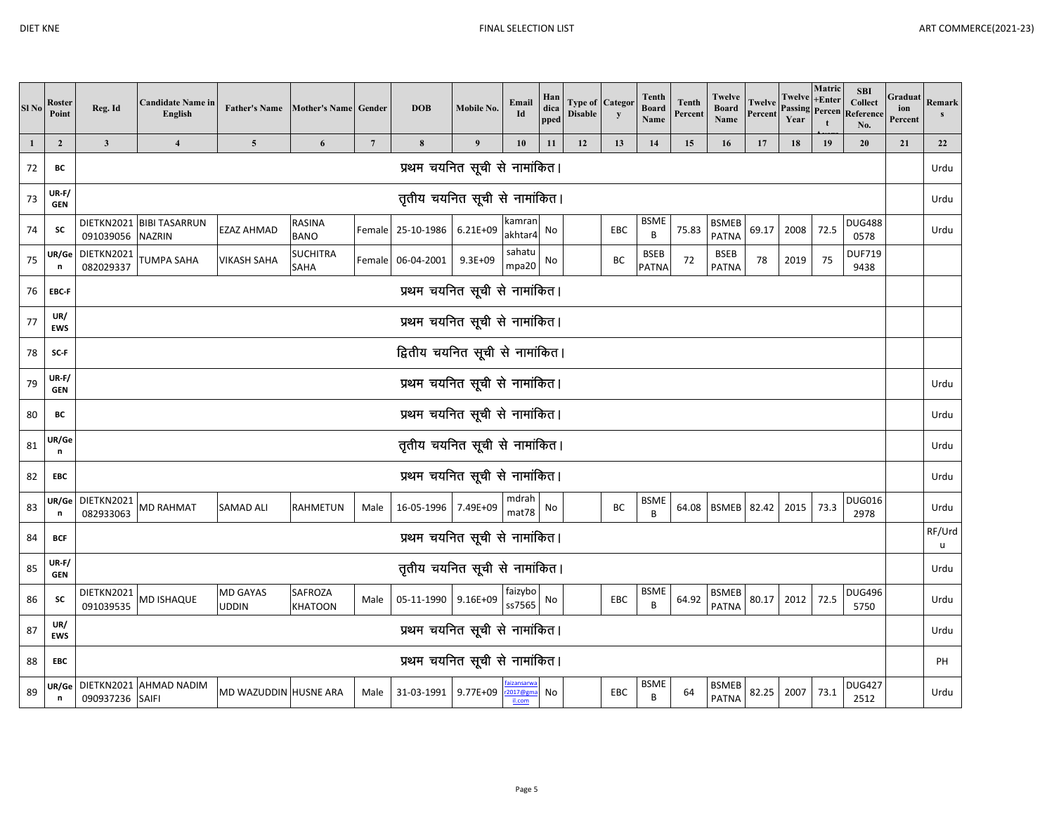| ı | ш |
|---|---|
|---|---|

| Sl <sub>No</sub> | Roster<br>Point     | Reg. Id                         | <b>Candidate Name in</b><br>English       | Father's Name Mother's Name Gender |                                |                 | <b>DOB</b>                    | Mobile No.   | Email<br>Id        | Han<br>dica<br>pped | <b>Disable</b> | <b>Type of Categor</b><br>$\mathbf{y}$ | Tenth<br><b>Board</b><br>Name | <b>Tenth</b><br>Percent | Twelve<br><b>Board</b><br>Name | Twelve<br>Percent | Twelve<br><b>Passing Percen</b><br>Year | Matric<br>$+Enter$ | <b>SBI</b><br><b>Collect</b><br>Reference<br>No. | Graduat Remark<br>ion<br>Percent |             |
|------------------|---------------------|---------------------------------|-------------------------------------------|------------------------------------|--------------------------------|-----------------|-------------------------------|--------------|--------------------|---------------------|----------------|----------------------------------------|-------------------------------|-------------------------|--------------------------------|-------------------|-----------------------------------------|--------------------|--------------------------------------------------|----------------------------------|-------------|
| $\mathbf{1}$     | $\overline{2}$      | $\mathbf{3}$                    | $\overline{\mathbf{4}}$                   | $\overline{\mathbf{5}}$            | 6                              | $7\phantom{.0}$ | 8                             | 9            | 10                 | 11                  | 12             | 13                                     | 14                            | 15                      | 16                             | 17                | 18                                      | 19                 | 20                                               | 21                               | 22          |
| 72               | BC                  |                                 |                                           |                                    |                                |                 | प्रथम चयनित सूची से नामांकित। |              |                    |                     |                |                                        |                               |                         |                                |                   |                                         |                    |                                                  |                                  | Urdu        |
| 73               | UR-F/<br><b>GEN</b> |                                 |                                           |                                    |                                |                 | तृतीय चयनित सूची से नामांकित। |              |                    |                     |                |                                        |                               |                         |                                |                   |                                         |                    |                                                  |                                  | Urdu        |
| 74               | SC                  | 091039056                       | DIETKN2021 BIBI TASARRUN<br><b>NAZRIN</b> | <b>EZAZ AHMAD</b>                  | <b>RASINA</b><br><b>BANO</b>   |                 | Female 25-10-1986             | $6.21E + 09$ | kamran<br>akhtar4  | No                  |                | EBC                                    | <b>BSME</b><br>B              | 75.83                   | <b>BSMEB</b><br><b>PATNA</b>   | 69.17             | 2008                                    | 72.5               | <b>DUG488</b><br>0578                            |                                  | Urdu        |
| 75               | UR/Ge<br>n          | DIETKN2021<br>082029337         | TUMPA SAHA                                | <b>VIKASH SAHA</b>                 | <b>SUCHITRA</b><br><b>SAHA</b> |                 | Female 06-04-2001             | $9.3E + 09$  | sahatu<br>mpa20    | No                  |                | BC                                     | <b>BSEB</b><br><b>PATNA</b>   | 72                      | BSEB<br><b>PATNA</b>           | 78                | 2019                                    | 75                 | <b>DUF719</b><br>9438                            |                                  |             |
| 76               | EBC-F               |                                 |                                           |                                    |                                |                 | प्रथम चयनित सूची से नामांकित। |              |                    |                     |                |                                        |                               |                         |                                |                   |                                         |                    |                                                  |                                  |             |
| 77               | UR/<br><b>EWS</b>   | प्रथम चयनित सूची से नामांकित।   |                                           |                                    |                                |                 |                               |              |                    |                     |                |                                        |                               |                         |                                |                   |                                         |                    |                                                  |                                  |             |
| 78               | SC-F                | द्वितीय चयनित सूची से नामांकित। |                                           |                                    |                                |                 |                               |              |                    |                     |                |                                        |                               |                         |                                |                   |                                         |                    |                                                  |                                  |             |
| 79               | UR-F/<br><b>GEN</b> | प्रथम चयनित सूची से नामांकित।   |                                           |                                    |                                |                 |                               |              |                    |                     |                |                                        |                               |                         |                                |                   |                                         |                    | Urdu                                             |                                  |             |
| 80               | ВC                  | प्रथम चयनित सूची से नामांकित।   |                                           |                                    |                                |                 |                               |              |                    |                     |                |                                        |                               |                         |                                |                   |                                         |                    | Urdu                                             |                                  |             |
| 81               | UR/Ge<br>n          |                                 |                                           |                                    |                                |                 | तृतीय चयनित सूची से नामांकित। |              |                    |                     |                |                                        |                               |                         |                                |                   |                                         |                    |                                                  |                                  | Urdu        |
| 82               | EBC                 |                                 |                                           |                                    |                                |                 | प्रथम चयनित सूची से नामांकित। |              |                    |                     |                |                                        |                               |                         |                                |                   |                                         |                    |                                                  |                                  | Urdu        |
| 83               | UR/Ge<br>n          | DIETKN2021<br>082933063         | MD RAHMAT                                 | <b>SAMAD ALI</b>                   | <b>RAHMETUN</b>                | Male            | 16-05-1996 7.49E+09           |              | mdrah<br>mat78     | No                  |                | BC                                     | <b>BSME</b><br>B              | 64.08                   | <b>BSMEB</b>                   | 82.42             | 2015                                    | 73.3               | <b>DUG016</b><br>2978                            |                                  | Urdu        |
| 84               | <b>BCF</b>          |                                 |                                           |                                    |                                |                 | प्रथम चयनित सूची से नामांकित। |              |                    |                     |                |                                        |                               |                         |                                |                   |                                         |                    |                                                  |                                  | RF/Urd<br>u |
| 85               | UR-F/<br><b>GEN</b> |                                 |                                           |                                    |                                |                 | तृतीय चयनित सूची से नामांकित। |              |                    |                     |                |                                        |                               |                         |                                |                   |                                         |                    |                                                  |                                  | Urdu        |
| 86               | SC                  | DIETKN2021<br>091039535         | <b>MD ISHAQUE</b>                         | <b>MD GAYAS</b><br><b>UDDIN</b>    | SAFROZA<br><b>KHATOON</b>      | Male            | 05-11-1990                    | 9.16E+09     | faizybo<br>ss7565  | No                  |                | EBC                                    | <b>BSME</b><br>B              | 64.92                   | <b>BSMEB</b><br><b>PATNA</b>   | 80.17             | 2012                                    | 72.5               | <b>DUG496</b><br>5750                            |                                  | Urdu        |
| 87               | UR/<br><b>EWS</b>   |                                 |                                           |                                    |                                |                 | प्रथम चयनित सूची से नामांकित। |              |                    |                     |                |                                        |                               |                         |                                |                   |                                         |                    |                                                  |                                  | Urdu        |
| 88               | EBC                 |                                 |                                           |                                    |                                |                 | प्रथम चयनित सूची से नामांकित। |              |                    |                     |                |                                        |                               |                         |                                |                   |                                         |                    |                                                  |                                  | PH          |
| 89               | UR/Ge<br>n          | 090937236                       | DIETKN2021 AHMAD NADIM<br><b>SAIFI</b>    | MD WAZUDDIN HUSNE ARA              |                                | Male            | 31-03-1991                    | 9.77E+09     | 2017@gma<br>il.com | No                  |                | EBC                                    | <b>BSME</b><br>B              | 64                      | <b>BSMEB</b><br><b>PATNA</b>   | 82.25             | 2007                                    | 73.1               | <b>DUG427</b><br>2512                            |                                  | Urdu        |